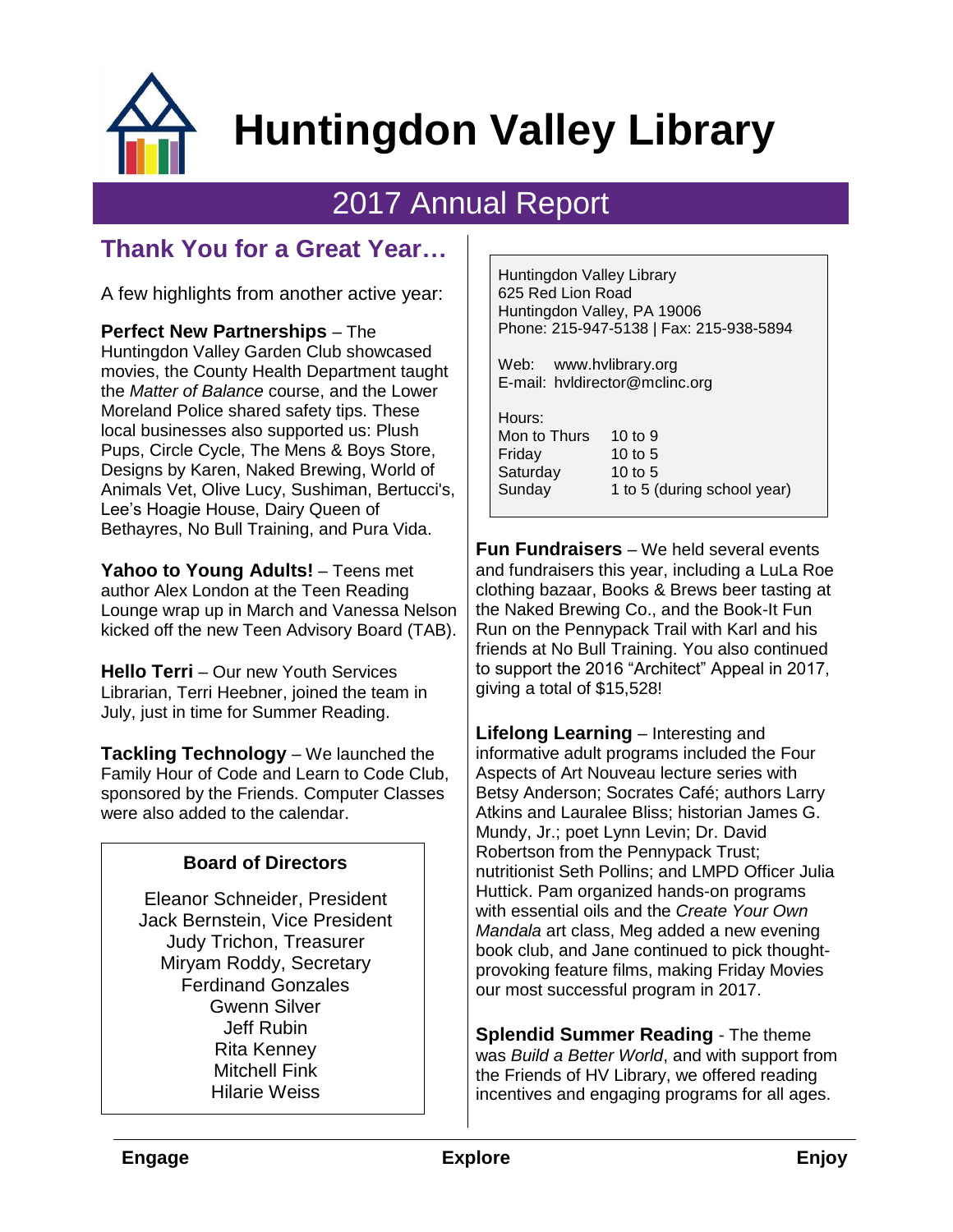

# **Huntingdon Valley Library**

## 2017 Annual Report

### **Thank You for a Great Year…**

A few highlights from another active year:

**Perfect New Partnerships** – The Huntingdon Valley Garden Club showcased movies, the County Health Department taught the *Matter of Balance* course, and the Lower Moreland Police shared safety tips. These local businesses also supported us: Plush Pups, Circle Cycle, The Mens & Boys Store, Designs by Karen, Naked Brewing, World of Animals Vet, Olive Lucy, Sushiman, Bertucci's, Lee's Hoagie House, Dairy Queen of Bethayres, No Bull Training, and Pura Vida.

**Yahoo to Young Adults!** – Teens met author Alex London at the Teen Reading Lounge wrap up in March and Vanessa Nelson kicked off the new Teen Advisory Board (TAB).

**Hello Terri** – Our new Youth Services Librarian, Terri Heebner, joined the team in July, just in time for Summer Reading.

**Tackling Technology** – We launched the Family Hour of Code and Learn to Code Club, sponsored by the Friends. Computer Classes were also added to the calendar.

#### **Board of Directors**

Eleanor Schneider, President Jack Bernstein, Vice President Judy Trichon, Treasurer Miryam Roddy, Secretary Ferdinand Gonzales Gwenn Silver Jeff Rubin Rita Kenney Mitchell Fink Hilarie Weiss

Huntingdon Valley Library 625 Red Lion Road Huntingdon Valley, PA 19006 Phone: 215-947-5138 | Fax: 215-938-5894

Web: www.hvlibrary.org E-mail: hvldirector@mclinc.org

| Hours:<br>Mon to Thurs<br>Friday<br>Saturday | 10 to $9$<br>10 to $5$<br>10 to $5$ |
|----------------------------------------------|-------------------------------------|
| Sunday                                       | 1 to 5 (during school year)         |

**Fun Fundraisers** – We held several events and fundraisers this year, including a LuLa Roe clothing bazaar, Books & Brews beer tasting at the Naked Brewing Co., and the Book-It Fun Run on the Pennypack Trail with Karl and his friends at No Bull Training. You also continued to support the 2016 "Architect" Appeal in 2017, giving a total of \$15,528!

**Lifelong Learning** – Interesting and informative adult programs included the Four Aspects of Art Nouveau lecture series with Betsy Anderson; Socrates Café; authors Larry Atkins and Lauralee Bliss; historian James G. Mundy, Jr.; poet Lynn Levin; Dr. David Robertson from the Pennypack Trust; nutritionist Seth Pollins; and LMPD Officer Julia Huttick. Pam organized hands-on programs with essential oils and the *Create Your Own Mandala* art class, Meg added a new evening book club, and Jane continued to pick thoughtprovoking feature films, making Friday Movies our most successful program in 2017.

**Splendid Summer Reading** - The theme was *Build a Better World*, and with support from the Friends of HV Library, we offered reading incentives and engaging programs for all ages.